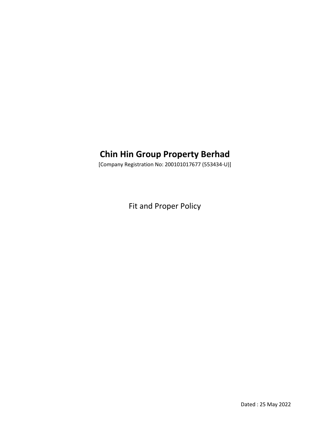# **Chin Hin Group Property Berhad**

[Company Registration No: 200101017677 (553434-U)]

Fit and Proper Policy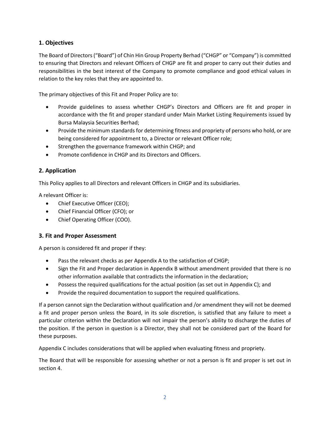# **1. Objectives**

The Board of Directors ("Board") of Chin Hin Group Property Berhad ("CHGP" or "Company") is committed to ensuring that Directors and relevant Officers of CHGP are fit and proper to carry out their duties and responsibilities in the best interest of the Company to promote compliance and good ethical values in relation to the key roles that they are appointed to.

The primary objectives of this Fit and Proper Policy are to:

- Provide guidelines to assess whether CHGP's Directors and Officers are fit and proper in accordance with the fit and proper standard under Main Market Listing Requirements issued by Bursa Malaysia Securities Berhad;
- Provide the minimum standards for determining fitness and propriety of persons who hold, or are being considered for appointment to, a Director or relevant Officer role;
- Strengthen the governance framework within CHGP; and
- Promote confidence in CHGP and its Directors and Officers.

# **2. Application**

This Policy applies to all Directors and relevant Officers in CHGP and its subsidiaries.

A relevant Officer is:

- Chief Executive Officer (CEO);
- Chief Financial Officer (CFO); or
- Chief Operating Officer (COO).

# **3. Fit and Proper Assessment**

A person is considered fit and proper if they:

- Pass the relevant checks as per Appendix A to the satisfaction of CHGP;
- Sign the Fit and Proper declaration in Appendix B without amendment provided that there is no other information available that contradicts the information in the declaration;
- Possess the required qualifications for the actual position (as set out in Appendix C); and
- Provide the required documentation to support the required qualifications.

If a person cannot sign the Declaration without qualification and /or amendment they will not be deemed a fit and proper person unless the Board, in its sole discretion, is satisfied that any failure to meet a particular criterion within the Declaration will not impair the person's ability to discharge the duties of the position. If the person in question is a Director, they shall not be considered part of the Board for these purposes.

Appendix C includes considerations that will be applied when evaluating fitness and propriety.

The Board that will be responsible for assessing whether or not a person is fit and proper is set out in section 4.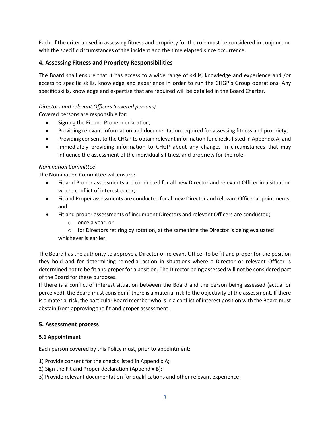Each of the criteria used in assessing fitness and propriety for the role must be considered in conjunction with the specific circumstances of the incident and the time elapsed since occurrence.

# **4. Assessing Fitness and Propriety Responsibilities**

The Board shall ensure that it has access to a wide range of skills, knowledge and experience and /or access to specific skills, knowledge and experience in order to run the CHGP's Group operations. Any specific skills, knowledge and expertise that are required will be detailed in the Board Charter.

#### *Directors and relevant Officers (covered persons)*

Covered persons are responsible for:

- Signing the Fit and Proper declaration;
- Providing relevant information and documentation required for assessing fitness and propriety;
- Providing consent to the CHGP to obtain relevant information for checks listed in Appendix A; and
- Immediately providing information to CHGP about any changes in circumstances that may influence the assessment of the individual's fitness and propriety for the role.

#### *Nomination Committee*

The Nomination Committee will ensure:

- Fit and Proper assessments are conducted for all new Director and relevant Officer in a situation where conflict of interest occur;
- Fit and Proper assessments are conducted for all new Director and relevant Officer appointments; and
- Fit and proper assessments of incumbent Directors and relevant Officers are conducted;
	- o once a year; or
	- $\circ$  for Directors retiring by rotation, at the same time the Director is being evaluated whichever is earlier.

The Board has the authority to approve a Director or relevant Officer to be fit and proper for the position they hold and for determining remedial action in situations where a Director or relevant Officer is determined not to be fit and proper for a position. The Director being assessed will not be considered part of the Board for these purposes.

If there is a conflict of interest situation between the Board and the person being assessed (actual or perceived), the Board must consider if there is a material risk to the objectivity of the assessment. If there is a material risk, the particular Board member who is in a conflict of interest position with the Board must abstain from approving the fit and proper assessment.

#### **5. Assessment process**

#### **5.1 Appointment**

Each person covered by this Policy must, prior to appointment:

1) Provide consent for the checks listed in Appendix A;

- 2) Sign the Fit and Proper declaration (Appendix B);
- 3) Provide relevant documentation for qualifications and other relevant experience;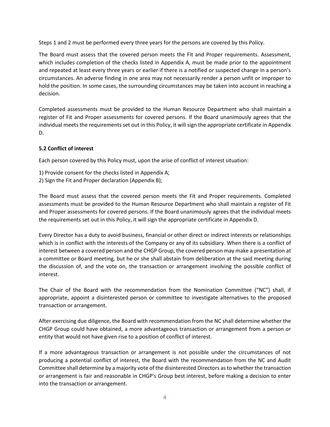Steps 1 and 2 must be performed every three years for the persons are covered by this Policy.

The Board must assess that the covered person meets the Fit and Proper requirements. Assessment, which includes completion of the checks listed in Appendix A, must be made prior to the appointment and repeated at least every three years or earlier if there is a notified or suspected change in a person's circumstances. An adverse finding in one area may not necessarily render a person unfit or improper to hold the position. In some cases, the surrounding circumstances may be taken into account in reaching a decision.

Completed assessments must be provided to the Human Resource Department who shall maintain a register of Fit and Proper assessments for covered persons. If the Board unanimously agrees that the individual meets the requirements set out in this Policy, it will sign the appropriate certificate in Appendix D.

# **5.2 Conflict of interest**

Each person covered by this Policy must, upon the arise of conflict of interest situation:

- 1) Provide consent for the checks listed in Appendix A;
- 2) Sign the Fit and Proper declaration (Appendix B);

The Board must assess that the covered person meets the Fit and Proper requirements. Completed assessments must be provided to the Human Resource Department who shall maintain a register of Fit and Proper assessments for covered persons. If the Board unanimously agrees that the individual meets the requirements set out in this Policy, it will sign the appropriate certificate in Appendix D.

Every Director has a duty to avoid business, financial or other direct or indirect interests or relationships which is in conflict with the interests of the Company or any of its subsidiary. When there is a conflict of interest between a covered person and the CHGP Group, the covered person may make a presentation at a committee or Board meeting, but he or she shall abstain from deliberation at the said meeting during the discussion of, and the vote on, the transaction or arrangement involving the possible conflict of interest.

The Chair of the Board with the recommendation from the Nomination Committee ("NC") shall, if appropriate, appoint a disinterested person or committee to investigate alternatives to the proposed transaction or arrangement.

After exercising due diligence, the Board with recommendation from the NC shall determine whether the CHGP Group could have obtained, a more advantageous transaction or arrangement from a person or entity that would not have given rise to a position of conflict of interest.

If a more advantageous transaction or arrangement is not possible under the circumstances of not producing a potential conflict of interest, the Board with the recommendation from the NC and Audit Committee shall determine by a majority vote of the disinterested Directors as to whether the transaction or arrangement is fair and reasonable in CHGP's Group best interest, before making a decision to enter into the transaction or arrangement.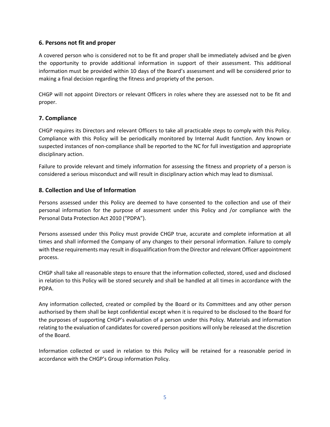# **6. Persons not fit and proper**

A covered person who is considered not to be fit and proper shall be immediately advised and be given the opportunity to provide additional information in support of their assessment. This additional information must be provided within 10 days of the Board's assessment and will be considered prior to making a final decision regarding the fitness and propriety of the person.

CHGP will not appoint Directors or relevant Officers in roles where they are assessed not to be fit and proper.

#### **7. Compliance**

CHGP requires its Directors and relevant Officers to take all practicable steps to comply with this Policy. Compliance with this Policy will be periodically monitored by Internal Audit function. Any known or suspected instances of non-compliance shall be reported to the NC for full investigation and appropriate disciplinary action.

Failure to provide relevant and timely information for assessing the fitness and propriety of a person is considered a serious misconduct and will result in disciplinary action which may lead to dismissal.

# **8. Collection and Use of Information**

Persons assessed under this Policy are deemed to have consented to the collection and use of their personal information for the purpose of assessment under this Policy and /or compliance with the Personal Data Protection Act 2010 ("PDPA").

Persons assessed under this Policy must provide CHGP true, accurate and complete information at all times and shall informed the Company of any changes to their personal information. Failure to comply with these requirements may result in disqualification from the Director and relevant Officer appointment process.

CHGP shall take all reasonable steps to ensure that the information collected, stored, used and disclosed in relation to this Policy will be stored securely and shall be handled at all times in accordance with the PDPA.

Any information collected, created or compiled by the Board or its Committees and any other person authorised by them shall be kept confidential except when it is required to be disclosed to the Board for the purposes of supporting CHGP's evaluation of a person under this Policy. Materials and information relating to the evaluation of candidates for covered person positions will only be released at the discretion of the Board.

Information collected or used in relation to this Policy will be retained for a reasonable period in accordance with the CHGP's Group information Policy.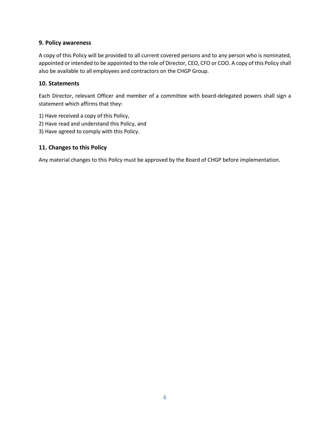### **9. Policy awareness**

A copy of this Policy will be provided to all current covered persons and to any person who is nominated, appointed or intended to be appointed to the role of Director, CEO, CFO or COO. A copy of this Policy shall also be available to all employees and contractors on the CHGP Group.

# **10. Statements**

Each Director, relevant Officer and member of a committee with board-delegated powers shall sign a statement which affirms that they:

- 1) Have received a copy of this Policy,
- 2) Have read and understand this Policy, and
- 3) Have agreed to comply with this Policy.

#### **11. Changes to this Policy**

Any material changes to this Policy must be approved by the Board of CHGP before implementation.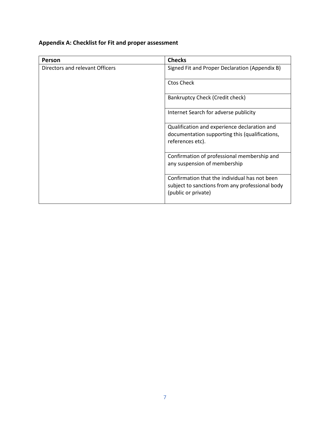# **Appendix A: Checklist for Fit and proper assessment**

| Person                          | <b>Checks</b>                                                                                                           |
|---------------------------------|-------------------------------------------------------------------------------------------------------------------------|
| Directors and relevant Officers | Signed Fit and Proper Declaration (Appendix B)                                                                          |
|                                 | <b>Ctos Check</b>                                                                                                       |
|                                 | Bankruptcy Check (Credit check)                                                                                         |
|                                 | Internet Search for adverse publicity                                                                                   |
|                                 | Qualification and experience declaration and<br>documentation supporting this (qualifications,<br>references etc).      |
|                                 | Confirmation of professional membership and<br>any suspension of membership                                             |
|                                 | Confirmation that the individual has not been<br>subject to sanctions from any professional body<br>(public or private) |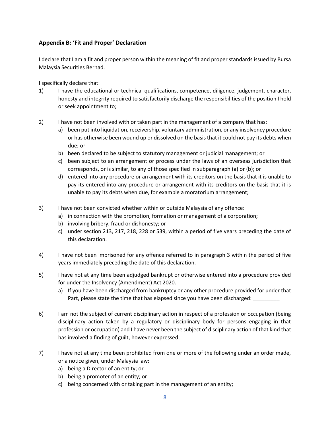# **Appendix B: 'Fit and Proper' Declaration**

I declare that I am a fit and proper person within the meaning of fit and proper standards issued by Bursa Malaysia Securities Berhad.

I specifically declare that:

- 1) I have the educational or technical qualifications, competence, diligence, judgement, character, honesty and integrity required to satisfactorily discharge the responsibilities of the position I hold or seek appointment to;
- 2) I have not been involved with or taken part in the management of a company that has:
	- a) been put into liquidation, receivership, voluntary administration, or any insolvency procedure or has otherwise been wound up or dissolved on the basis that it could not pay its debts when due; or
	- b) been declared to be subject to statutory management or judicial management; or
	- c) been subject to an arrangement or process under the laws of an overseas jurisdiction that corresponds, or is similar, to any of those specified in subparagraph (a) or (b); or
	- d) entered into any procedure or arrangement with its creditors on the basis that it is unable to pay its entered into any procedure or arrangement with its creditors on the basis that it is unable to pay its debts when due, for example a moratorium arrangement;
- 3) I have not been convicted whether within or outside Malaysia of any offence:
	- a) in connection with the promotion, formation or management of a corporation;
	- b) involving bribery, fraud or dishonesty; or
	- c) under section 213, 217, 218, 228 or 539, within a period of five years preceding the date of this declaration.
- 4) I have not been imprisoned for any offence referred to in paragraph 3 within the period of five years immediately preceding the date of this declaration.
- 5) I have not at any time been adjudged bankrupt or otherwise entered into a procedure provided for under the Insolvency (Amendment) Act 2020.
	- a) If you have been discharged from bankruptcy or any other procedure provided for under that Part, please state the time that has elapsed since you have been discharged:
- 6) I am not the subject of current disciplinary action in respect of a profession or occupation (being disciplinary action taken by a regulatory or disciplinary body for persons engaging in that profession or occupation) and I have never been the subject of disciplinary action of that kind that has involved a finding of guilt, however expressed;
- 7) I have not at any time been prohibited from one or more of the following under an order made, or a notice given, under Malaysia law:
	- a) being a Director of an entity; or
	- b) being a promoter of an entity; or
	- c) being concerned with or taking part in the management of an entity;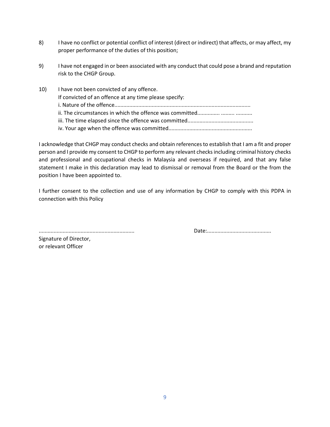- 8) I have no conflict or potential conflict of interest (direct or indirect) that affects, or may affect, my proper performance of the duties of this position;
- 9) I have not engaged in or been associated with any conduct that could pose a brand and reputation risk to the CHGP Group.
- 10) I have not been convicted of any offence. If convicted of an offence at any time please specify: i. Nature of the offence........................................................................................... ii. The circumstances in which the offence was committed............... ......... ........... iii. The time elapsed since the offence was committed............................................ iv. Your age when the offence was committed........................................................

I acknowledge that CHGP may conduct checks and obtain references to establish that I am a fit and proper person and I provide my consent to CHGP to perform any relevant checks including criminal history checks and professional and occupational checks in Malaysia and overseas if required, and that any false statement I make in this declaration may lead to dismissal or removal from the Board or the from the position I have been appointed to.

I further consent to the collection and use of any information by CHGP to comply with this PDPA in connection with this Policy

Signature of Director, or relevant Officer

................................................................ Date:...........................................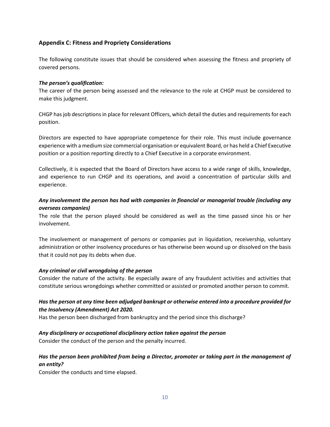# **Appendix C: Fitness and Propriety Considerations**

The following constitute issues that should be considered when assessing the fitness and propriety of covered persons.

#### *The person's qualification:*

The career of the person being assessed and the relevance to the role at CHGP must be considered to make this judgment.

CHGP has job descriptions in place for relevant Officers, which detail the duties and requirements for each position.

Directors are expected to have appropriate competence for their role. This must include governance experience with a medium size commercial organisation or equivalent Board, or has held a Chief Executive position or a position reporting directly to a Chief Executive in a corporate environment.

Collectively, it is expected that the Board of Directors have access to a wide range of skills, knowledge, and experience to run CHGP and its operations, and avoid a concentration of particular skills and experience.

# *Any involvement the person has had with companies in financial or managerial trouble (including any overseas companies)*

The role that the person played should be considered as well as the time passed since his or her involvement.

The involvement or management of persons or companies put in liquidation, receivership, voluntary administration or other insolvency procedures or has otherwise been wound up or dissolved on the basis that it could not pay its debts when due.

#### *Any criminal or civil wrongdoing of the person*

Consider the nature of the activity. Be especially aware of any fraudulent activities and activities that constitute serious wrongdoings whether committed or assisted or promoted another person to commit.

# *Has the person at any time been adjudged bankrupt or otherwise entered into a procedure provided for the Insolvency (Amendment) Act 2020.*

Has the person been discharged from bankruptcy and the period since this discharge?

# *Any disciplinary or occupational disciplinary action taken against the person*

Consider the conduct of the person and the penalty incurred.

# *Has the person been prohibited from being a Director, promoter or taking part in the management of an entity?*

Consider the conducts and time elapsed.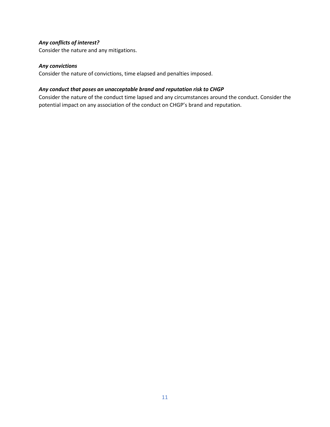# *Any conflicts of interest?*

Consider the nature and any mitigations.

#### *Any convictions*

Consider the nature of convictions, time elapsed and penalties imposed.

#### *Any conduct that poses an unacceptable brand and reputation risk to CHGP*

Consider the nature of the conduct time lapsed and any circumstances around the conduct. Consider the potential impact on any association of the conduct on CHGP's brand and reputation.